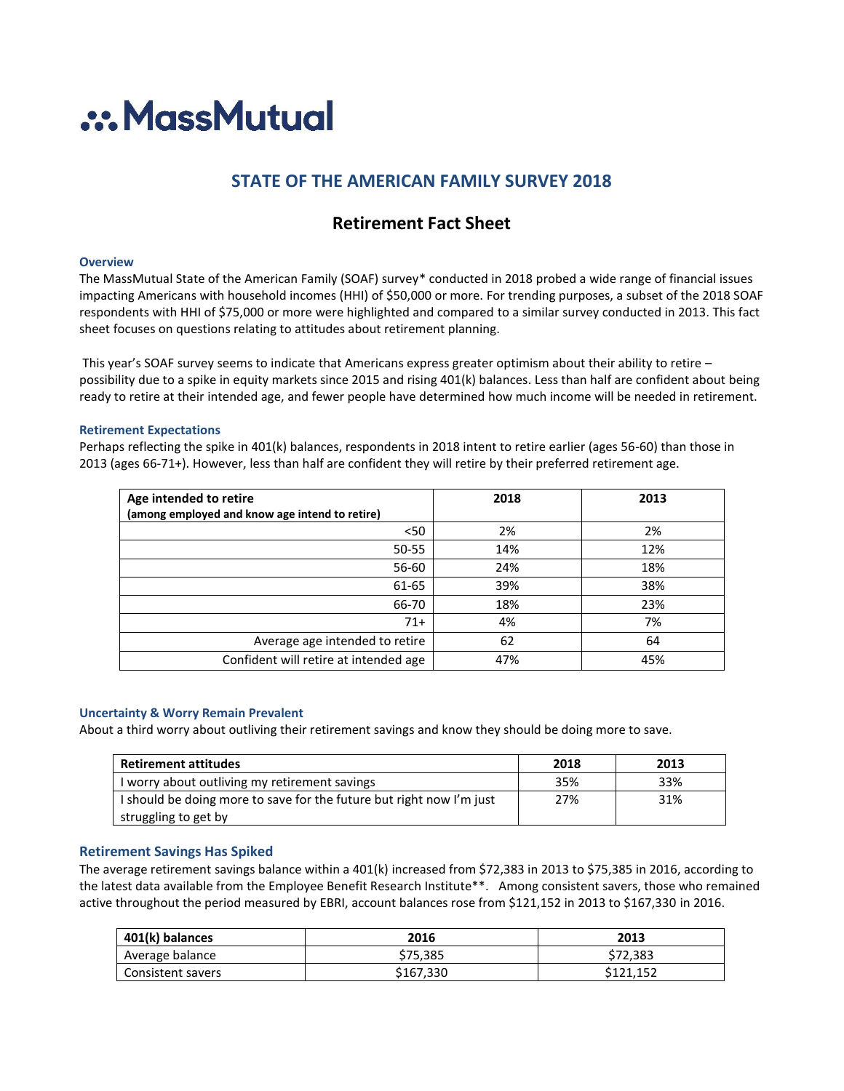

# **STATE OF THE AMERICAN FAMILY SURVEY 2018**

## **Retirement Fact Sheet**

## **Overview**

The MassMutual State of the American Family (SOAF) survey\* conducted in 2018 probed a wide range of financial issues impacting Americans with household incomes (HHI) of \$50,000 or more. For trending purposes, a subset of the 2018 SOAF respondents with HHI of \$75,000 or more were highlighted and compared to a similar survey conducted in 2013. This fact sheet focuses on questions relating to attitudes about retirement planning.

This year's SOAF survey seems to indicate that Americans express greater optimism about their ability to retire – possibility due to a spike in equity markets since 2015 and rising 401(k) balances. Less than half are confident about being ready to retire at their intended age, and fewer people have determined how much income will be needed in retirement.

#### **Retirement Expectations**

Perhaps reflecting the spike in 401(k) balances, respondents in 2018 intent to retire earlier (ages 56-60) than those in 2013 (ages 66-71+). However, less than half are confident they will retire by their preferred retirement age.

| Age intended to retire                         | 2018 | 2013 |
|------------------------------------------------|------|------|
| (among employed and know age intend to retire) |      |      |
| < 50                                           | 2%   | 2%   |
| 50-55                                          | 14%  | 12%  |
| 56-60                                          | 24%  | 18%  |
| 61-65                                          | 39%  | 38%  |
| 66-70                                          | 18%  | 23%  |
| $71+$                                          | 4%   | 7%   |
| Average age intended to retire                 | 62   | 64   |
| Confident will retire at intended age          | 47%  | 45%  |

#### **Uncertainty & Worry Remain Prevalent**

About a third worry about outliving their retirement savings and know they should be doing more to save.

| <b>Retirement attitudes</b>                                          | 2018 | 2013 |
|----------------------------------------------------------------------|------|------|
| I worry about outliving my retirement savings                        | 35%  | 33%  |
| I should be doing more to save for the future but right now I'm just | 27%  | 31%  |
| struggling to get by                                                 |      |      |

## **Retirement Savings Has Spiked**

The average retirement savings balance within a 401(k) increased from \$72,383 in 2013 to \$75,385 in 2016, according to the latest data available from the Employee Benefit Research Institute\*\*. Among consistent savers, those who remained active throughout the period measured by EBRI, account balances rose from \$121,152 in 2013 to \$167,330 in 2016.

| 401(k) balances   | 2016      | 2013      |
|-------------------|-----------|-----------|
| Average balance   | \$75.385  | \$72,383  |
| Consistent savers | \$167,330 | \$121.152 |